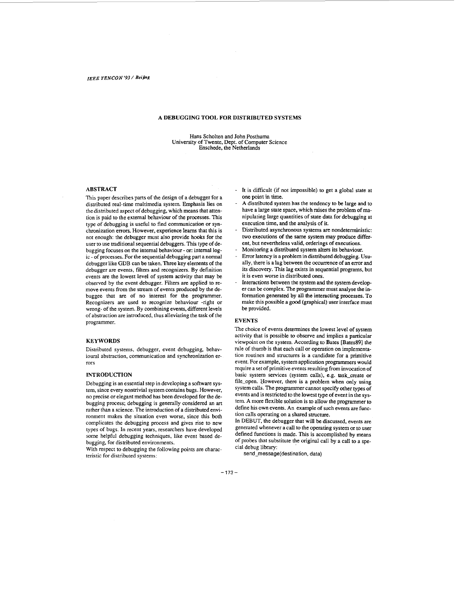## **A DEBUGGING TOOL FOR DISTRIBUTED SYSTEMS**

Hans Scholten and John Posthuma University of Twente, Dept. of Computer Science Enschede, the Netherlands

# **ABSTRACT**

**This** paper describes parts of the design of a debugger for a distributed real-time multimedia system. Emphasis lies on the distributed aspect of debugging, which means that attention is paid to the extemal behaviour of the processes. This type of debugging is useful to find communication or synchronization errors. However, experience learns that this is not enough: the debugger must also provide hooks for the user to use traditional sequential debuggers. This type of debugging focuses on the internal behaviour - or: intemal logic - of processes. For the sequential debugging part a normal debugger like GDB can be taken. Three key elements of the debugger **are** events, filters and recognizes. By definition events are the lowest level of system activity that may be observed by the event debugger. Filters are applied to remove events from the stream of events produced by the debuggee that are of no interest for the programmer. Recognizers are used to recognize behaviour -right or wrong- of the system. By combining events, different levels of abstraction **are** introduced, thus alleviating the task of the programmer.

#### **KEYWORDS**

Distributed systems, debugger, event debugging, behavioural abstraction, communication and synchronization errors

#### **INTRODUCTION**

Debugging is an essential step in developing a software system, since every nontrivial system contains bugs. However, **no** precise or elegant method has been developed for the debugging process; debugging is generally considered an art rather than a science. The introduction of a distributed environment makes the situation even worse, since this both complicates the debugging process and gives **rise** to **new types** of bugs. **In** recent years, researchers have developed some helpful debugging techniques, like event based debugging, for distributed environments.

With respect to debugging the following points are characteristic for distributed systems:

- It is difficult (if not impossible) to get a global state at one point in time.
- **A** distributed system has the tendency to **be** large and to have a large state space, which **raises** the problem of manipulating large quantities of state data for debugging at execution time, and the analysis of it.
- Distributed asynchronous systems **are** nondeterministic: two executions of the same system may produce different, but nevertheless valid, orderings **of** executions.
- Monitoring a distributed system alters its behaviour.
- Error latency is a problem in distributed debugging. **Usu**ally, there is a lag between the occurrence of an **error** and its discovery. This lag exists in sequential programs, but it is even worse in distributed ones.
- Interactions between the system and the system developer can be complex. The programmer must analyse the information generated by all the interacting processes. To make this possible a good (graphical) user interface must be provided.

## **EVENTS**

The choice of events determines the lowest level of system activity that is possible to observe and implies a particular viewpoint **on** the system. According to Bates [Bates891 the rule of thumb is that each call or operation on implementation routines and structures is a candidate for a primitive event. For example, system application programmers would require a set of primitive events resulting from invocation of basic system services (system calls), e.g. task-create or file-open. However, there **is** a problem when only using system calls. The programmer cannot specify other types of events and is restricted to the lowest type of event in the system. **A** more flexible solution is to allow the programmer to define his own events. **An** example of such events are function calls operating on a shared stmcture.

**In** DEBUT, the debugger that will be discussed, events are generated whenever a call to the operating system or to user defined functions is made. This is accomplished by means of probes that substitute the original call by a call to a **spe**cial debug library:

**send-message(destination,** data)

 $-173-$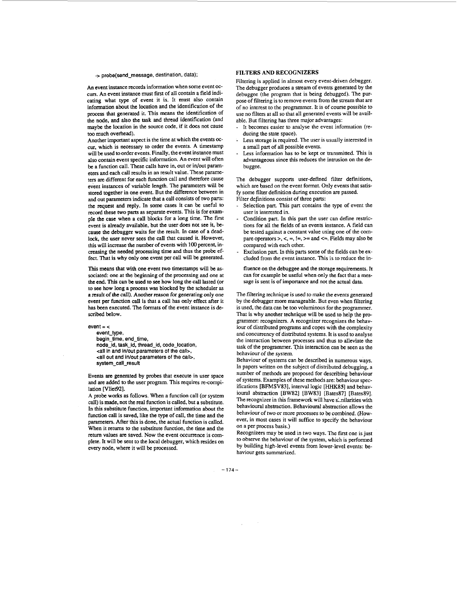#### -> probe(send-message, destination, data);

An event instance records information when some event occurs. An event instance must first of all contain a field indicating what type of event it is. It must also contain information about the location and the identification of the process that generated it. This means the identification of the node, and also the task and thread identification (and maybe the location in the source code, if it does not cause too much overhead).

Another important aspect is the time at which the events *oc*cur, which is necessary to order the events. A timestamp will be used to order events. Finally, the event instance must also contain event specific information. An event will often be a function call. These calls have in, out or in/out parameters and each call results in an result value. These parameters *are* different for each function call and therefore cause event instances of variable length. The parameters will be stored together in one event. But the difference between in and out parameters indicate that a call consists of two parts: the request and reply. **In** some cases it can be useful to record these two parts as separate events. **This** is for example the case when a call blocks for a long time. The first event is already available, but the **user** does not see it, because the debugger waits for the result. In case of a dead**lock,** the user never sees the call that caused it. However, this will increase. the number of events with **100** percent, increasing the needed processing time and thus the probe **ef**fect. That **is** why only one event **per** call will be generated.

This means that with one event two timestamps will be associated: one at the beginning of the processing and one at the end. This can be used to *see* how long the call lasted **(or**  to **sec** how long a process was blocked by the scheduler **as**  a result of *the* call). Another **reason for** generating only one event per function call is that a call has only effect after it has been executed. The formats of the event instance is described below.

 $event = <$ 

event\_type, begin\_time, end\_time. node-id, task\_id, thread\_id, code\_location, <all in and inlout parameters **of** the call>, <all out and inlout parameters **of the** call>. system\_call\_result

Events are generated by probes that execute in user space and **are** added to the user program. This **requires** re-compilation [Vliet92].

**A** probe works **as** follows. When a function call (or system call) is **made,** not the real function is called, but a substitute. In this substitute function, important information about the function call is saved, like the type of call, the time and the parameters. After this is done, the actual function is called. When it returns to the substitute function, the time and the return values *are* saved. Now the event occurrence is complete. It will be sent to the local debugger, which resides **on**  every node, where it will be processed.

## **FILTERS AND RECOGNIZERS**

Filtering is applied in almost every event-driven debugger. The debugger produces a stream of events generated by the debuggee (the program that is being debugged). The purpose of filtering is to remove events from the stream that are of no interest to the programmer. It is of course possible to use **no** filters at all so that all generated events will be availabIe. But filtering has three major advantages:

- It becomes easier to analyse the event information (reducing the state space).
- Less storage is required. The user is usually interested in a small part of all possible events.
- Less information has to be kept **or** transmitted. This is advantageous since this reduces the intrusion on the debuggee.

The debugger supports user-defined filter definitions, which are based on the event format. Only events that satisfy some filter definition during execution *are* passed. Filter definitions consist of three parts:

- Selection part. This part contains the type of event the user is interested in.
- Condition part. **In** this part the user can define restrictions for all the fields **of** an events instance. A field can be tested against **a** constant value using one of the compare operators  $>$ ,  $<$ ,  $=$ ,  $!=$ ,  $>=$  and  $\leq$ . Fields may also be compared with each other.
- Exclusion part. In this parts some of the fields can be excluded from the event instance. This is to reduce the in-
- fluence **on** the debuggee and the storage requirements. It can for example be useful when only the fact that a message is sent is of importance and not the actual data.

The filtering technique is **used** to make the events generated by the debugger more manageable. But even when filtering **is** used, the data can be too voluminous for the programmer. That **is** why another technique will be used to help the programmer: recognizers. A recognizer recognizes the behaviour of distributed programs and copes with the complexity and concurrency of distributed systems. It is used to analyse the interaction between processes and thus to alleviate the task of the programmer. This interaction can be seen as the behaviour of *the* system.

Behaviour of systems can be described in numerous ways. **In** papers written on the subject of distributed debugging, a number of methods are proposed for describing behaviour of systems. Examples of these methods are: behaviour specifications [BFMSV83], interval logic [HHK85] and behavioural abstraction [BW82] [BW83] [Bates87] [Bates89]. The recognizer in this framework will have similarities with behavioural abstraction. Behavioural abstraction allows the behaviour of two or more processes to be combined. (However, in most cases it will suffice to specify the behaviour **on** a per process basis.)

Recognizers may be used in two ways. The fist one is **just**  to observe the behaviour of the system, which is performed by building high-level events from lower-level events: behaviour gets summarized.

 $-174-$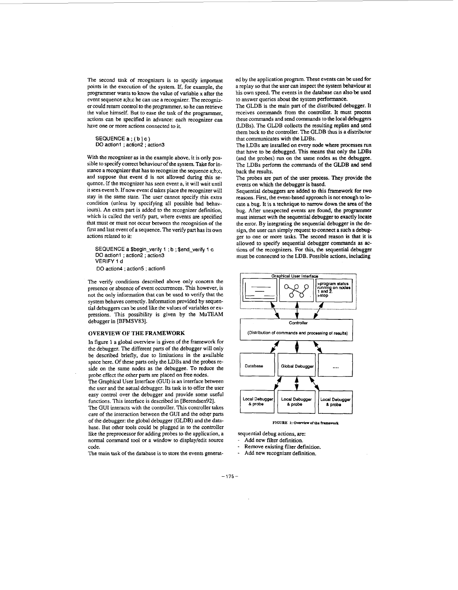The second task of recognizers is to specify important points in the execution of the system. If, for example, the programmer wants to know the value of variable **x** after the event sequence a;b;c he can use a recognizer. The recognizer could return control to the programmer, so he can retrieve the value himself. But to ease the task of the programmer, actions can be specified in advance: each recognizer can have one or more actions connected to it.

SEQUENCEa;(bJc) DO action1 ; action2 ; action3

With the recognizer as in the example above, it is only possible to specify correct behaviour of the system. *Take* for instance a recognizer that has to recognize the sequence a;b;c, and suppose that event d is not allowed during this sequence. If the recognizer has seen event **a,** it will wait until it sees event b. If now event d takes place the recognizer will stay in the same state. The user cannot specify this extra condition (unless by specifying all possible bad behaviours). An extra part is added to the recognizer definition, which is called the verify part, where events are specified that must **or** must not occur between the recognition of the first and last event of a sequence. The verify part has its own actions related to it:

SEQUENCE a \$begin\_verify 1 ; b ; \$end\_verify 1 c DO action1 ; action2 ; action3 VERIFY 1 **d**  DO action4 ; action5 ; action6

The verify conditions described above only concern the presence or absence of event occurrences. This however, is not the only information that can be used to verify that the system behaves correctly. Information provided by **sequen**tial debuggers can be **used** like the values of variables or expressions. This possibility is given by the MuTEAM debugger in [BFMSV83].

### **OVERVIEW OF THE FRAMEWORK**

**In** figure **1** a global overview is given **of** the framework for the debugger. The different parts of the debugger will only be described briefly, due to limitations in the available space here. Of these parts only the LDBs and the probes reside on the same nodes as the debuggee. To reduce the probe effect the other parts **are** placed **on** free **nodes.** 

The Graphical User Interface (GUI) is an interface between the user and the aotual debugger. Its task is to offer the user easy control over the debugger and provide some useful functions. This interface is described in [Berendsen92].

The GUI interacts with the controller. This controller takes care of the interaction between the GUI and the other parts of the debugger: the global debugger (GLDB) and the database. But other tools could be plugged in to the controller like the preprocessor for adding probes to the application, a normal command tool or a window to display/edit source code.

The main task of the database is to store the events generat-

ed by the application program. These events can be used for a replay so that the user can inspect the system behaviour at his own speed. The events in the database can also be **used**  to answer queries about the system performance.

The GLDB is the main part of the distributed debugger. It receives commands from the controller. It must process these commands and send commands to the local debuggers (LDBs). The GLDB collects the resulting replies and send them back to the controller. The GLDB thus is a distributor that communicates with the LDBs.

The LDBs **are** installed **on** every node where processes run that have to be debugged. This means that only the **LDBs**  (and the probes) run **on** the same nodes as the debuggee. The LDBs perform the commands of the GLDB and send back the results.

The probes are part of the **user** process. They provide the events on which the debugger is based.

Sequential debuggers are added to this framework for two reasons. First, the event-based approach is not enough to locate a bug. It is a technique to narrow down the area of the bug. After unexpected events **are** found, the programmer must interact with the sequential debugger to exactly locate the error. By integrating the sequential debugger in the design, the user can simply request to connect a such a debugger to one or more tasks. The second reason is that it is allowed to specify sequential debugger commands as **ac**tions of the recognizers. **For** this, the sequential debugger



**FIGURE** 1: Overview of the framework

sequential debug actions, are:

Add new filter definition.

- Remove existing filter definition.
- Add new recognizer definition.